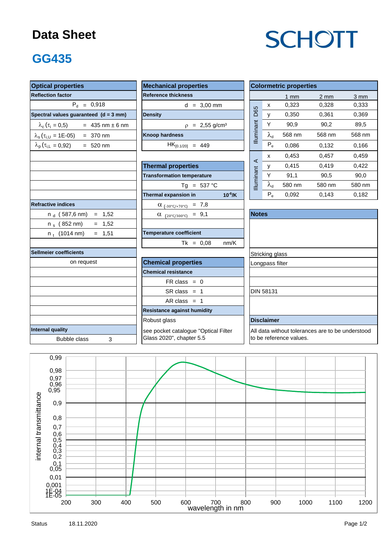#### **Data Sheet**

# **SCHOTT**

### **GG435**

| <b>Optical properties</b><br><b>Mechanical properties</b> |                                         |                                                                             |                   | <b>Colormetric properties</b> |                  |        |  |  |  |
|-----------------------------------------------------------|-----------------------------------------|-----------------------------------------------------------------------------|-------------------|-------------------------------|------------------|--------|--|--|--|
| <b>Reflection factor</b>                                  | <b>Reference thickness</b>              |                                                                             |                   | $1$ mm                        | $2 \, \text{mm}$ | 3 mm   |  |  |  |
| $P_{d} = 0.918$                                           | $d = 3,00$ mm                           |                                                                             | $\mathsf{x}$      | 0,323                         | 0.328            | 0,333  |  |  |  |
| Spectral values guaranteed (d = 3 mm)                     | <b>Density</b>                          | D65                                                                         | $\mathsf{V}$      | 0,350                         | 0,361            | 0,369  |  |  |  |
| $\lambda_c (\tau_i = 0.5)$ = 435 nm ± 6 nm                | $p = 2,55$ g/cm <sup>3</sup>            |                                                                             | Y                 | 90,9                          | 90,2             | 89,5   |  |  |  |
| $\lambda_s(\tau_{i,U} = 1E-05) = 370$ nm                  | <b>Knoop hardness</b>                   | Illuminant                                                                  | $\lambda_{\rm d}$ | 568 nm                        | 568 nm           | 568 nm |  |  |  |
| $\lambda_p(\tau_{i,L} = 0.92)$ = 520 nm                   | $HK_{[0.1/20]} = 449$                   |                                                                             | $P_e$             | 0,086                         | 0,132            | 0,166  |  |  |  |
|                                                           |                                         |                                                                             | x                 | 0,453                         | 0,457            | 0,459  |  |  |  |
|                                                           | <b>Thermal properties</b>               | $\prec$                                                                     | У                 | 0.415                         | 0.419            | 0.422  |  |  |  |
|                                                           | <b>Transformation temperature</b>       |                                                                             | Y                 | 91,1                          | 90,5             | 90,0   |  |  |  |
|                                                           | Tg = $537 °C$                           | Illuminant                                                                  | $\lambda_{\rm d}$ | 580 nm                        | 580 nm           | 580 nm |  |  |  |
|                                                           | Thermal expansion in<br>$10^{-6}$ /K    |                                                                             | $P_e$             | 0,092                         | 0,143            | 0,182  |  |  |  |
| <b>Refractive indices</b>                                 | $\alpha$ <sub>(-30°C/+70°C)</sub> = 7,8 |                                                                             |                   |                               |                  |        |  |  |  |
| $n_d$ (587,6 nm) = 1,52                                   | $\alpha$ (20°C/300°C) = 9,1             | <b>Notes</b>                                                                |                   |                               |                  |        |  |  |  |
| n <sub>s</sub> (852 nm)<br>$= 1,52$                       |                                         |                                                                             |                   |                               |                  |        |  |  |  |
| $= 1,51$<br>$n_t$ (1014 nm)                               | <b>Temperature coefficient</b>          |                                                                             |                   |                               |                  |        |  |  |  |
|                                                           | $Tk = 0.08$<br>nm/K                     |                                                                             |                   |                               |                  |        |  |  |  |
| Sellmeier coefficients                                    |                                         |                                                                             | Stricking glass   |                               |                  |        |  |  |  |
| on request                                                | <b>Chemical properties</b>              | Longpass filter                                                             |                   |                               |                  |        |  |  |  |
|                                                           | <b>Chemical resistance</b>              |                                                                             |                   |                               |                  |        |  |  |  |
|                                                           | $FR \text{ class } = 0$                 |                                                                             |                   |                               |                  |        |  |  |  |
|                                                           | $SR class = 1$                          |                                                                             | <b>DIN 58131</b>  |                               |                  |        |  |  |  |
|                                                           | AR class $= 1$                          |                                                                             |                   |                               |                  |        |  |  |  |
|                                                           | <b>Resistance against humidity</b>      |                                                                             |                   |                               |                  |        |  |  |  |
|                                                           | <b>Disclaimer</b>                       |                                                                             |                   |                               |                  |        |  |  |  |
| Internal quality                                          | see pocket catalogue "Optical Filter    | All data without tolerances are to be understood<br>to be reference values. |                   |                               |                  |        |  |  |  |
| <b>Bubble class</b><br>3                                  | Glass 2020", chapter 5.5                |                                                                             |                   |                               |                  |        |  |  |  |